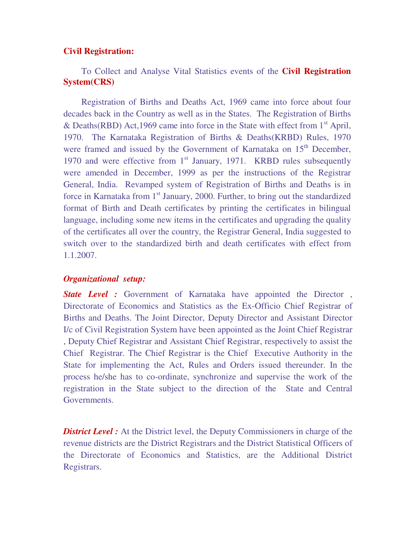#### **Civil Registration:**

# To Collect and Analyse Vital Statistics events of the **Civil Registration System(CRS)**

Registration of Births and Deaths Act, 1969 came into force about four decades back in the Country as well as in the States. The Registration of Births & Deaths(RBD) Act, 1969 came into force in the State with effect from  $1<sup>st</sup>$  April, 1970. The Karnataka Registration of Births & Deaths(KRBD) Rules, 1970 were framed and issued by the Government of Karnataka on 15<sup>th</sup> December, 1970 and were effective from  $1<sup>st</sup>$  January, 1971. KRBD rules subsequently were amended in December, 1999 as per the instructions of the Registrar General, India. Revamped system of Registration of Births and Deaths is in force in Karnataka from  $1<sup>st</sup>$  January, 2000. Further, to bring out the standardized format of Birth and Death certificates by printing the certificates in bilingual language, including some new items in the certificates and upgrading the quality of the certificates all over the country, the Registrar General, India suggested to switch over to the standardized birth and death certificates with effect from 1.1.2007.

#### *Organizational setup:*

*State Level :* Government of Karnataka have appointed the Director , Directorate of Economics and Statistics as the Ex-Officio Chief Registrar of Births and Deaths. The Joint Director, Deputy Director and Assistant Director I/c of Civil Registration System have been appointed as the Joint Chief Registrar , Deputy Chief Registrar and Assistant Chief Registrar, respectively to assist the Chief Registrar. The Chief Registrar is the Chief Executive Authority in the State for implementing the Act, Rules and Orders issued thereunder. In the process he/she has to co-ordinate, synchronize and supervise the work of the registration in the State subject to the direction of the State and Central Governments.

**District Level :** At the District level, the Deputy Commissioners in charge of the revenue districts are the District Registrars and the District Statistical Officers of the Directorate of Economics and Statistics, are the Additional District Registrars.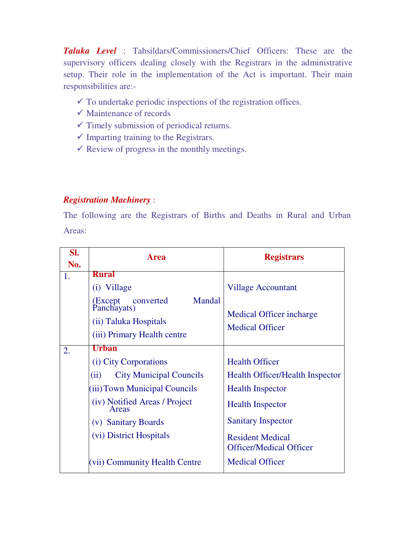*Taluka Level* : Tahsildars/Commissioners/Chief Officers: These are the supervisory officers dealing closely with the Registrars in the administrative setup. Their role in the implementation of the Act is important. Their main responsibilities are:-

- $\checkmark$  To undertake periodic inspections of the registration offices.
- $\checkmark$  Maintenance of records
- $\checkmark$  Timely submission of periodical returns.
- $\checkmark$  Imparting training to the Registrars.
- $\checkmark$  Review of progress in the monthly meetings.

## *Registration Machinery* :

The following are the Registrars of Births and Deaths in Rural and Urban Areas:

| SI. | <b>Area</b>                                     | <b>Registrars</b>                                         |  |
|-----|-------------------------------------------------|-----------------------------------------------------------|--|
| No. |                                                 |                                                           |  |
| 1.  | <b>Rural</b>                                    |                                                           |  |
|     | (i) Village                                     | <b>Village Accountant</b>                                 |  |
|     | Mandal<br>(Except c<br>Panchayats)<br>converted |                                                           |  |
|     |                                                 | Medical Officer incharge<br><b>Medical Officer</b>        |  |
|     | (ii) Taluka Hospitals                           |                                                           |  |
|     | (iii) Primary Health centre                     |                                                           |  |
| 2.  | <b>Urban</b>                                    |                                                           |  |
|     | (i) City Corporations                           | <b>Health Officer</b>                                     |  |
|     | <b>City Municipal Councils</b><br>(ii)          | <b>Health Officer/Health Inspector</b>                    |  |
|     | (iii) Town Municipal Councils                   | <b>Health Inspector</b>                                   |  |
|     | (iv) Notified Areas / Project<br>Areas          | <b>Health Inspector</b><br><b>Sanitary Inspector</b>      |  |
|     | (v) Sanitary Boards                             |                                                           |  |
|     | (vi) District Hospitals                         | <b>Resident Medical</b><br><b>Officer/Medical Officer</b> |  |
|     | (vii) Community Health Centre                   | <b>Medical Officer</b>                                    |  |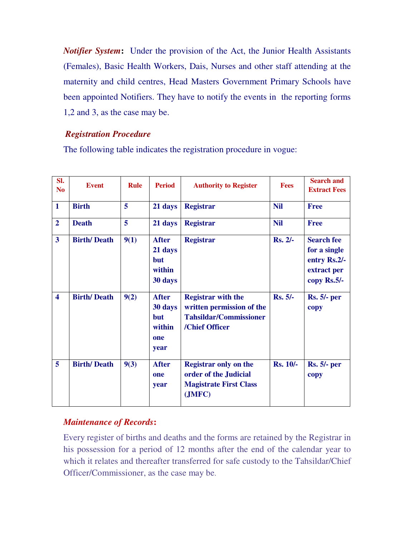*Notifier System***:** Under the provision of the Act, the Junior Health Assistants (Females), Basic Health Workers, Dais, Nurses and other staff attending at the maternity and child centres, Head Masters Government Primary Schools have been appointed Notifiers. They have to notify the events in the reporting forms 1,2 and 3, as the case may be.

## *Registration Procedure*

The following table indicates the registration procedure in vogue:

| SI.<br>N <sub>0</sub>   | <b>Event</b>       | <b>Rule</b> | <b>Period</b>                                                  | <b>Authority to Register</b>                                                                              | <b>Fees</b>     | <b>Search and</b><br><b>Extract Fees</b>                                        |
|-------------------------|--------------------|-------------|----------------------------------------------------------------|-----------------------------------------------------------------------------------------------------------|-----------------|---------------------------------------------------------------------------------|
| $\mathbf{1}$            | <b>Birth</b>       | 5           | 21 days                                                        | <b>Registrar</b>                                                                                          | <b>Nil</b>      | <b>Free</b>                                                                     |
| $\overline{2}$          | <b>Death</b>       | 5           | 21 days                                                        | <b>Registrar</b>                                                                                          | <b>Nil</b>      | <b>Free</b>                                                                     |
| $\overline{3}$          | <b>Birth/Death</b> | 9(1)        | <b>After</b><br>21 days<br><b>but</b><br>within<br>30 days     | <b>Registrar</b>                                                                                          | <b>Rs. 2/-</b>  | <b>Search fee</b><br>for a single<br>entry Rs.2/-<br>extract per<br>copy Rs.5/- |
| $\overline{\mathbf{4}}$ | <b>Birth/Death</b> | 9(2)        | <b>After</b><br>30 days<br><b>but</b><br>within<br>one<br>year | <b>Registrar with the</b><br>written permission of the<br><b>Tahsildar/Commissioner</b><br>/Chief Officer | <b>Rs. 5/-</b>  | <b>Rs. 5/- per</b><br>copy                                                      |
| 5                       | <b>Birth/Death</b> | 9(3)        | <b>After</b><br>one<br>year                                    | <b>Registrar only on the</b><br>order of the Judicial<br><b>Magistrate First Class</b><br>(JMFC)          | <b>Rs. 10/-</b> | <b>Rs. 5/- per</b><br>copy                                                      |

# *Maintenance of Records***:**

Every register of births and deaths and the forms are retained by the Registrar in his possession for a period of 12 months after the end of the calendar year to which it relates and thereafter transferred for safe custody to the Tahsildar/Chief Officer/Commissioner, as the case may be.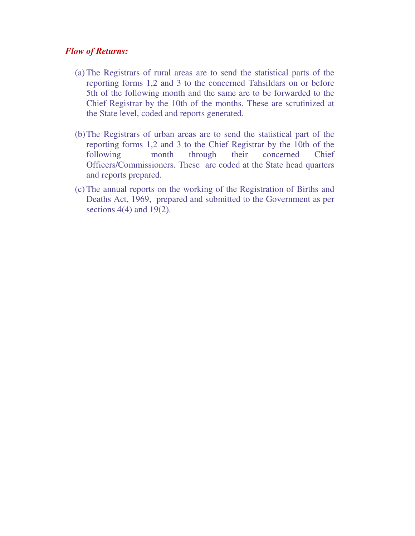### *Flow of Returns:*

- (a) The Registrars of rural areas are to send the statistical parts of the reporting forms 1,2 and 3 to the concerned Tahsildars on or before 5th of the following month and the same are to be forwarded to the Chief Registrar by the 10th of the months. These are scrutinized at the State level, coded and reports generated.
- (b)The Registrars of urban areas are to send the statistical part of the reporting forms 1,2 and 3 to the Chief Registrar by the 10th of the following month through their concerned Chief Officers/Commissioners. These are coded at the State head quarters and reports prepared.
- (c) The annual reports on the working of the Registration of Births and Deaths Act, 1969, prepared and submitted to the Government as per sections  $4(4)$  and  $19(2)$ .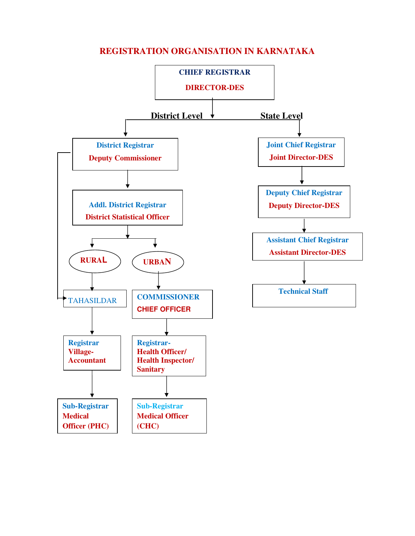# **REGISTRATION ORGANISATION IN KARNATAKA**